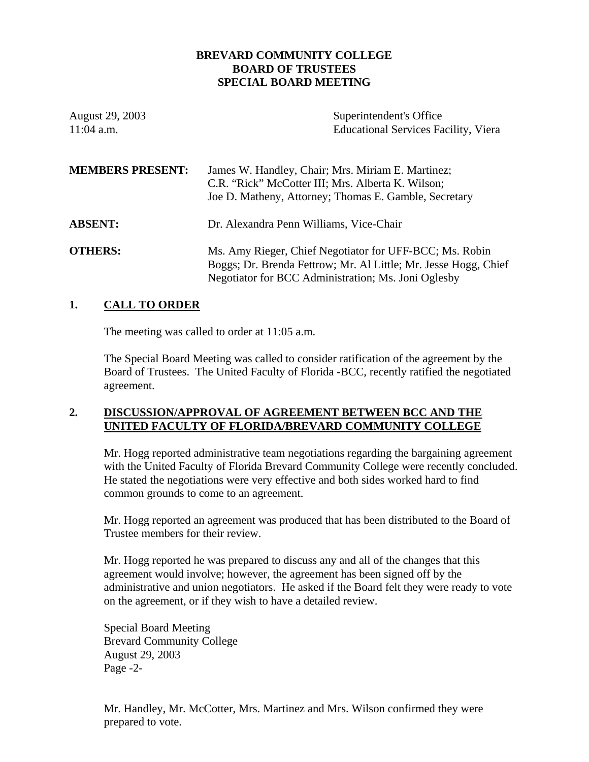## **BREVARD COMMUNITY COLLEGE BOARD OF TRUSTEES SPECIAL BOARD MEETING**

| August 29, 2003<br>$11:04$ a.m. | Superintendent's Office<br><b>Educational Services Facility, Viera</b>                                                                                                            |
|---------------------------------|-----------------------------------------------------------------------------------------------------------------------------------------------------------------------------------|
| <b>MEMBERS PRESENT:</b>         | James W. Handley, Chair; Mrs. Miriam E. Martinez;<br>C.R. "Rick" McCotter III; Mrs. Alberta K. Wilson;<br>Joe D. Matheny, Attorney; Thomas E. Gamble, Secretary                   |
| <b>ABSENT:</b>                  | Dr. Alexandra Penn Williams, Vice-Chair                                                                                                                                           |
| <b>OTHERS:</b>                  | Ms. Amy Rieger, Chief Negotiator for UFF-BCC; Ms. Robin<br>Boggs; Dr. Brenda Fettrow; Mr. Al Little; Mr. Jesse Hogg, Chief<br>Negotiator for BCC Administration; Ms. Joni Oglesby |

## **1. CALL TO ORDER**

The meeting was called to order at 11:05 a.m.

The Special Board Meeting was called to consider ratification of the agreement by the Board of Trustees. The United Faculty of Florida -BCC, recently ratified the negotiated agreement.

## **2. DISCUSSION/APPROVAL OF AGREEMENT BETWEEN BCC AND THE UNITED FACULTY OF FLORIDA/BREVARD COMMUNITY COLLEGE**

Mr. Hogg reported administrative team negotiations regarding the bargaining agreement with the United Faculty of Florida Brevard Community College were recently concluded. He stated the negotiations were very effective and both sides worked hard to find common grounds to come to an agreement.

Mr. Hogg reported an agreement was produced that has been distributed to the Board of Trustee members for their review.

Mr. Hogg reported he was prepared to discuss any and all of the changes that this agreement would involve; however, the agreement has been signed off by the administrative and union negotiators. He asked if the Board felt they were ready to vote on the agreement, or if they wish to have a detailed review.

Special Board Meeting Brevard Community College August 29, 2003 Page -2-

Mr. Handley, Mr. McCotter, Mrs. Martinez and Mrs. Wilson confirmed they were prepared to vote.